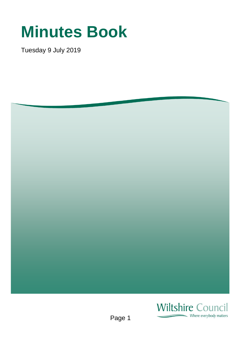## **Minutes Book**

Tuesday 9 July 2019



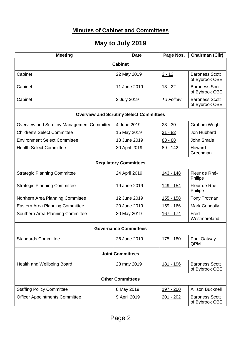## **Minutes of Cabinet and Committees**

## **May to July 2019**

| <b>Meeting</b>                                 | <b>Date</b>   | Page Nos.         | Chairman (Cllr)                         |  |
|------------------------------------------------|---------------|-------------------|-----------------------------------------|--|
| <b>Cabinet</b>                                 |               |                   |                                         |  |
| Cabinet                                        | 22 May 2019   | $3 - 12$          | <b>Baroness Scott</b><br>of Bybrook OBE |  |
| Cabinet                                        | 11 June 2019  | <u> 13 - 22</u>   | <b>Baroness Scott</b><br>of Bybrook OBE |  |
| Cabinet                                        | 2 July 2019   | <b>To Follow</b>  | <b>Baroness Scott</b><br>of Bybrook OBE |  |
| <b>Overview and Scrutiny Select Committees</b> |               |                   |                                         |  |
| Overview and Scrutiny Management Committee     | 4 June 2019   | $23 - 30$         | <b>Graham Wright</b>                    |  |
| <b>Children's Select Committee</b>             | 15 May 2019   | $31 - 82$         | Jon Hubbard                             |  |
| <b>Environment Select Committee</b>            | 18 June 2019  | $83 - 88$         | John Smale                              |  |
| <b>Health Select Committee</b>                 | 30 April 2019 | $89 - 142$        | Howard<br>Greenman                      |  |
| <b>Regulatory Committees</b>                   |               |                   |                                         |  |
| <b>Strategic Planning Committee</b>            | 24 April 2019 | 143 - 148         | Fleur de Rhé-<br>Philipe                |  |
| <b>Strategic Planning Committee</b>            | 19 June 2019  | <u> 149 - 154</u> | Fleur de Rhé-<br>Philipe                |  |
| Northern Area Planning Committee               | 12 June 2019  | <u> 155 - 158</u> | Tony Trotman                            |  |
| Eastern Area Planning Committee                | 20 June 2019  | <u> 159 - 166</u> | <b>Mark Connolly</b>                    |  |
| Southern Area Planning Committee               | 30 May 2019   | 167 - 174         | Fred<br>Westmoreland                    |  |
| <b>Governance Committees</b>                   |               |                   |                                         |  |
| <b>Standards Committee</b>                     | 26 June 2019  | 175 - 180         | Paul Oatway<br>QPM                      |  |
| <b>Joint Committees</b>                        |               |                   |                                         |  |
| Health and Wellbeing Board                     | 23 may 2019   | <u> 181 - 196</u> | <b>Baroness Scott</b><br>of Bybrook OBE |  |
| <b>Other Committees</b>                        |               |                   |                                         |  |
| <b>Staffing Policy Committee</b>               | 8 May 2019    | <u> 197 - 200</u> | <b>Allison Bucknell</b>                 |  |
| <b>Officer Appointments Committee</b>          | 9 April 2019  | 201 - 202         | <b>Baroness Scott</b><br>of Bybrook OBE |  |